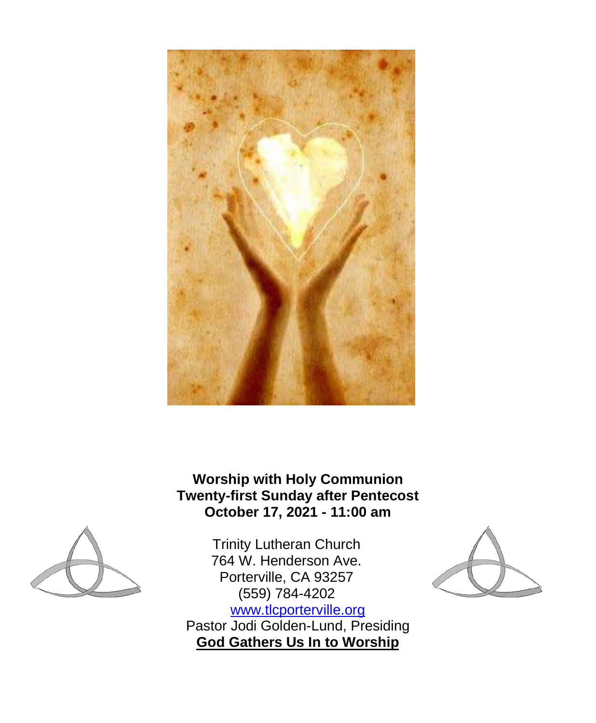

**Worship with Holy Communion Twenty-first Sunday after Pentecost October 17, 2021 - 11:00 am**



Trinity Lutheran Church 764 W. Henderson Ave. Porterville, CA 93257 (559) 784-4202 [www.tlcporterville.org](http://www.tlcporterville.org/) Pastor Jodi Golden-Lund, Presiding **God Gathers Us In to Worship**

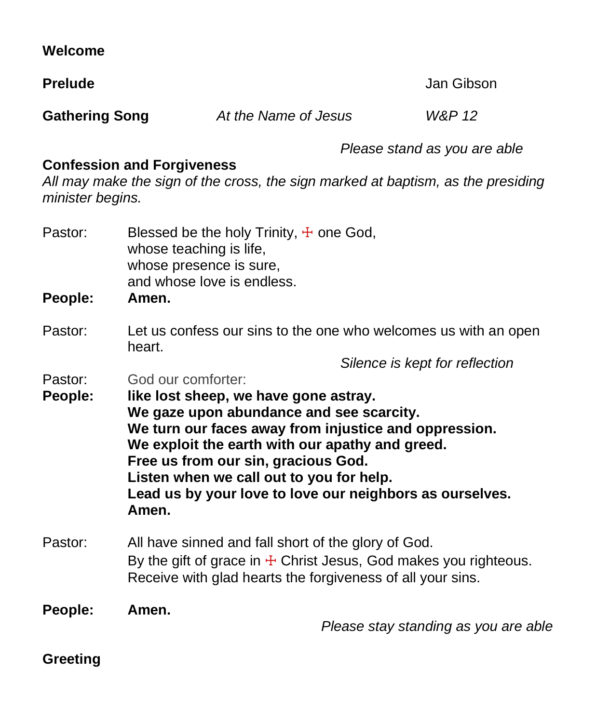| Welcome               |                                                                                                                                                                                                                                                                                                                                                                                                               |                                                                                                                                                                                           |            |                                      |
|-----------------------|---------------------------------------------------------------------------------------------------------------------------------------------------------------------------------------------------------------------------------------------------------------------------------------------------------------------------------------------------------------------------------------------------------------|-------------------------------------------------------------------------------------------------------------------------------------------------------------------------------------------|------------|--------------------------------------|
| <b>Prelude</b>        |                                                                                                                                                                                                                                                                                                                                                                                                               |                                                                                                                                                                                           | Jan Gibson |                                      |
| <b>Gathering Song</b> |                                                                                                                                                                                                                                                                                                                                                                                                               | At the Name of Jesus                                                                                                                                                                      |            | W&P 12                               |
| minister begins.      | <b>Confession and Forgiveness</b>                                                                                                                                                                                                                                                                                                                                                                             | All may make the sign of the cross, the sign marked at baptism, as the presiding                                                                                                          |            | Please stand as you are able         |
| Pastor:<br>People:    | Blessed be the holy Trinity, $\pm$ one God,<br>whose teaching is life,<br>whose presence is sure,<br>and whose love is endless.<br>Amen.                                                                                                                                                                                                                                                                      |                                                                                                                                                                                           |            |                                      |
| Pastor:               | Let us confess our sins to the one who welcomes us with an open<br>heart.                                                                                                                                                                                                                                                                                                                                     |                                                                                                                                                                                           |            |                                      |
| Pastor:<br>People:    | Silence is kept for reflection<br>God our comforter:<br>like lost sheep, we have gone astray.<br>We gaze upon abundance and see scarcity.<br>We turn our faces away from injustice and oppression.<br>We exploit the earth with our apathy and greed.<br>Free us from our sin, gracious God.<br>Listen when we call out to you for help.<br>Lead us by your love to love our neighbors as ourselves.<br>Amen. |                                                                                                                                                                                           |            |                                      |
| Pastor:               |                                                                                                                                                                                                                                                                                                                                                                                                               | All have sinned and fall short of the glory of God.<br>By the gift of grace in $\pm$ Christ Jesus, God makes you righteous.<br>Receive with glad hearts the forgiveness of all your sins. |            |                                      |
| People:               | Amen.                                                                                                                                                                                                                                                                                                                                                                                                         |                                                                                                                                                                                           |            | Please stay standing as you are able |
| <b>Greeting</b>       |                                                                                                                                                                                                                                                                                                                                                                                                               |                                                                                                                                                                                           |            |                                      |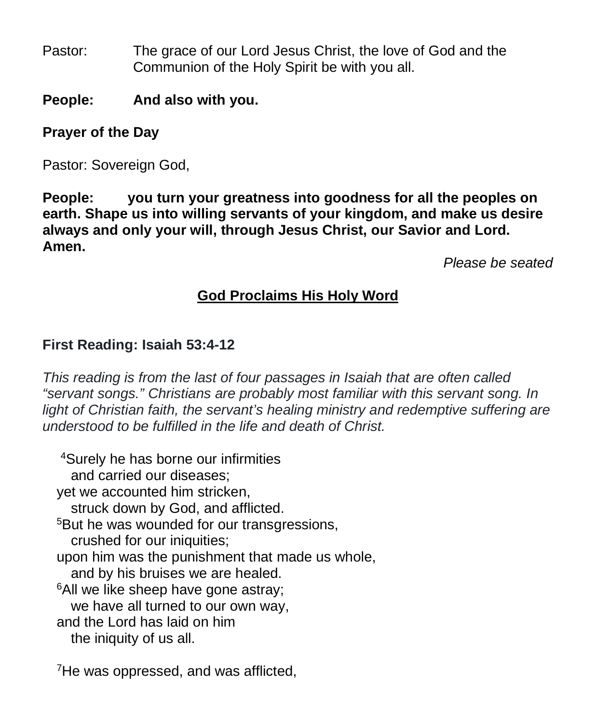- Pastor: The grace of our Lord Jesus Christ, the love of God and the Communion of the Holy Spirit be with you all.
- **People: And also with you.**

## **Prayer of the Day**

Pastor: Sovereign God,

**People: you turn your greatness into goodness for all the peoples on earth. Shape us into willing servants of your kingdom, and make us desire always and only your will, through Jesus Christ, our Savior and Lord. Amen.** 

*Please be seated*

# **God Proclaims His Holy Word**

# **First Reading: Isaiah 53:4-12**

*This reading is from the last of four passages in Isaiah that are often called "servant songs." Christians are probably most familiar with this servant song. In*  light of Christian faith, the servant's healing ministry and redemptive suffering are *understood to be fulfilled in the life and death of Christ.*

4Surely he has borne our infirmities and carried our diseases; yet we accounted him stricken, struck down by God, and afflicted. <sup>5</sup>But he was wounded for our transgressions, crushed for our iniquities; upon him was the punishment that made us whole, and by his bruises we are healed. <sup>6</sup>All we like sheep have gone astray; we have all turned to our own way, and the Lord has laid on him the iniquity of us all.

<sup>7</sup>He was oppressed, and was afflicted,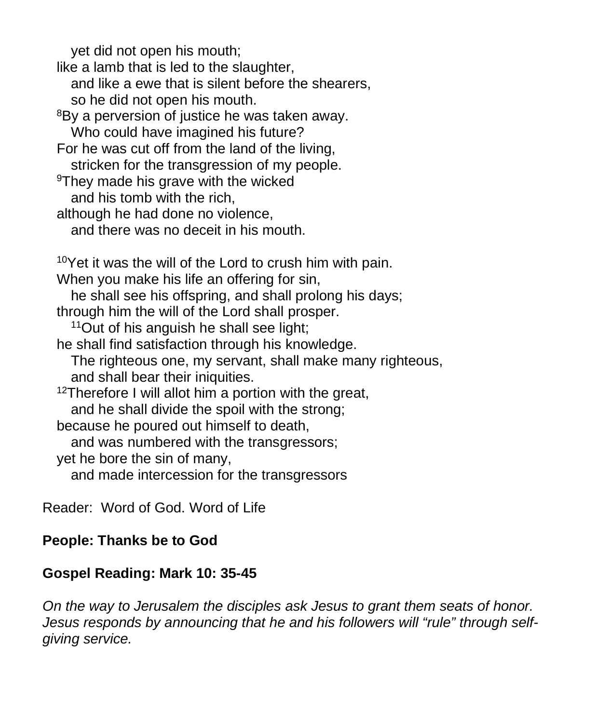yet did not open his mouth; like a lamb that is led to the slaughter, and like a ewe that is silent before the shearers, so he did not open his mouth. <sup>8</sup>By a perversion of justice he was taken away. Who could have imagined his future? For he was cut off from the land of the living, stricken for the transgression of my people. <sup>9</sup>They made his grave with the wicked and his tomb with the rich, although he had done no violence, and there was no deceit in his mouth. 10Yet it was the will of the Lord to crush him with pain. When you make his life an offering for sin, he shall see his offspring, and shall prolong his days; through him the will of the Lord shall prosper. 11Out of his anguish he shall see light; he shall find satisfaction through his knowledge. The righteous one, my servant, shall make many righteous, and shall bear their iniquities. <sup>12</sup>Therefore I will allot him a portion with the great, and he shall divide the spoil with the strong; because he poured out himself to death, and was numbered with the transgressors; yet he bore the sin of many, and made intercession for the transgressors

Reader: Word of God. Word of Life

### **People: Thanks be to God**

### **Gospel Reading: Mark 10: 35-45**

*On the way to Jerusalem the disciples ask Jesus to grant them seats of honor. Jesus responds by announcing that he and his followers will "rule" through selfgiving service.*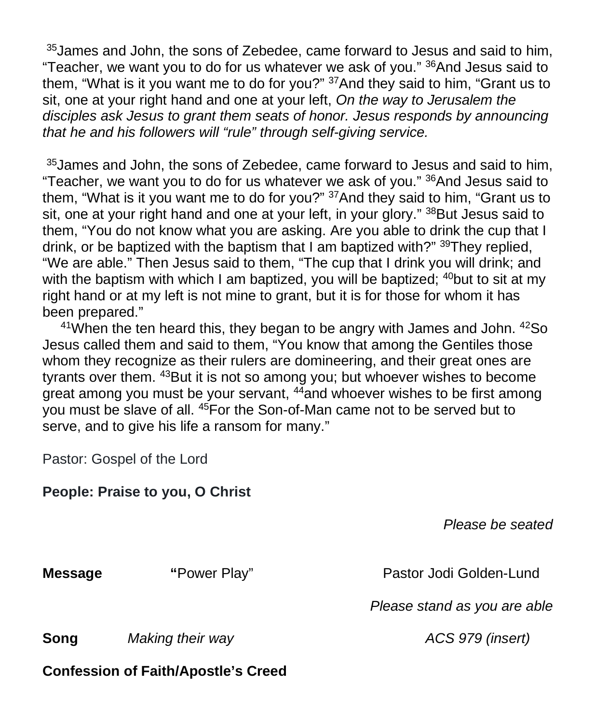<sup>35</sup> James and John, the sons of Zebedee, came forward to Jesus and said to him, "Teacher, we want you to do for us whatever we ask of you." 36And Jesus said to them, "What is it you want me to do for you?" 37And they said to him, "Grant us to sit, one at your right hand and one at your left, *On the way to Jerusalem the disciples ask Jesus to grant them seats of honor. Jesus responds by announcing that he and his followers will "rule" through self-giving service.*

<sup>35</sup> James and John, the sons of Zebedee, came forward to Jesus and said to him, "Teacher, we want you to do for us whatever we ask of you." 36And Jesus said to them, "What is it you want me to do for you?" 37And they said to him, "Grant us to sit, one at your right hand and one at your left, in your glory." <sup>38</sup>But Jesus said to them, "You do not know what you are asking. Are you able to drink the cup that I drink, or be baptized with the baptism that I am baptized with?" 39They replied, "We are able." Then Jesus said to them, "The cup that I drink you will drink; and with the baptism with which I am baptized, you will be baptized;  $40$  but to sit at my right hand or at my left is not mine to grant, but it is for those for whom it has been prepared."

 $41$ When the ten heard this, they began to be angry with James and John.  $42$ So Jesus called them and said to them, "You know that among the Gentiles those whom they recognize as their rulers are domineering, and their great ones are tyrants over them. 43But it is not so among you; but whoever wishes to become great among you must be your servant, 44and whoever wishes to be first among you must be slave of all. 45For the Son-of-Man came not to be served but to serve, and to give his life a ransom for many."

Pastor: Gospel of the Lord

|                | People: Praise to you, O Christ            |                              |
|----------------|--------------------------------------------|------------------------------|
|                |                                            | Please be seated             |
| <b>Message</b> | "Power Play"                               | Pastor Jodi Golden-Lund      |
|                |                                            | Please stand as you are able |
| Song           | Making their way                           | ACS 979 (insert)             |
|                | <b>Confession of Faith/Apostle's Creed</b> |                              |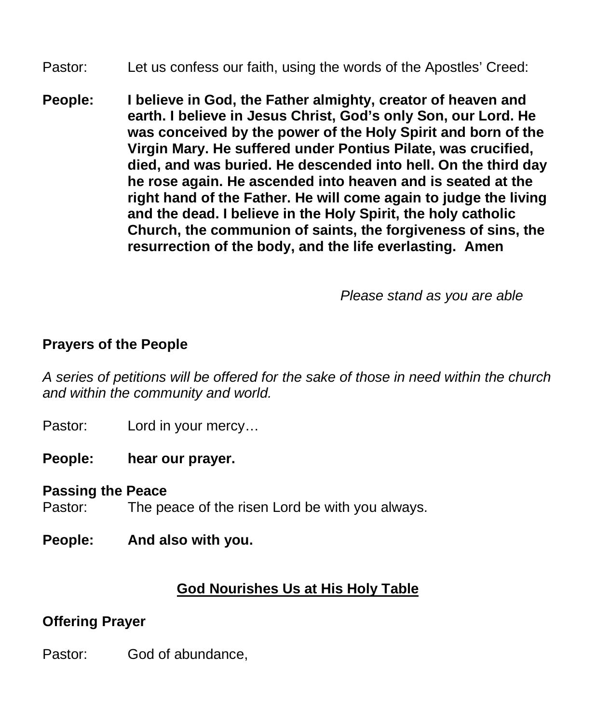- Pastor: Let us confess our faith, using the words of the Apostles' Creed:
- **People: I believe in God, the Father almighty, creator of heaven and earth. I believe in Jesus Christ, God's only Son, our Lord. He was conceived by the power of the Holy Spirit and born of the Virgin Mary. He suffered under Pontius Pilate, was crucified, died, and was buried. He descended into hell. On the third day he rose again. He ascended into heaven and is seated at the right hand of the Father. He will come again to judge the living and the dead. I believe in the Holy Spirit, the holy catholic Church, the communion of saints, the forgiveness of sins, the resurrection of the body, and the life everlasting. Amen**

 *Please stand as you are able*

#### **Prayers of the People**

*A series of petitions will be offered for the sake of those in need within the church and within the community and world.*

Pastor: Lord in your mercy…

**People: hear our prayer.** 

#### **Passing the Peace**

Pastor: The peace of the risen Lord be with you always.

**People: And also with you.**

### **God Nourishes Us at His Holy Table**

#### **Offering Prayer**

Pastor: God of abundance,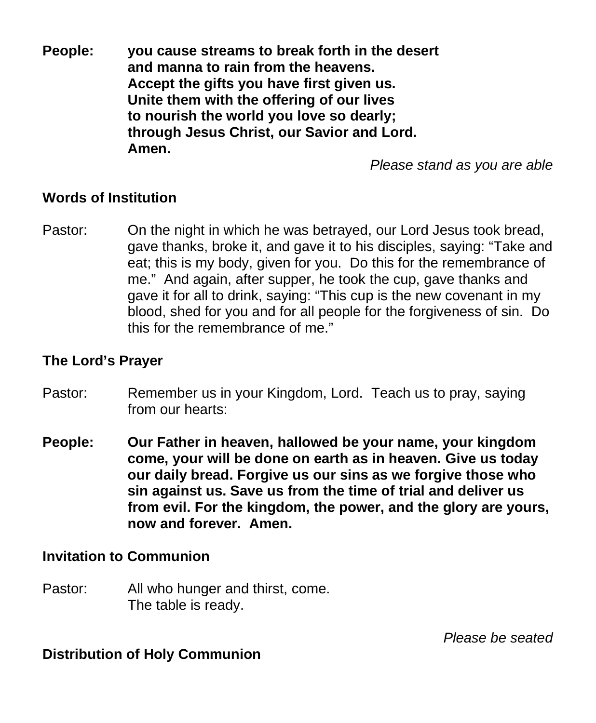**People: you cause streams to break forth in the desert and manna to rain from the heavens. Accept the gifts you have first given us. Unite them with the offering of our lives to nourish the world you love so dearly; through Jesus Christ, our Savior and Lord. Amen.**

*Please stand as you are able*

#### **Words of Institution**

Pastor: On the night in which he was betrayed, our Lord Jesus took bread, gave thanks, broke it, and gave it to his disciples, saying: "Take and eat; this is my body, given for you. Do this for the remembrance of me." And again, after supper, he took the cup, gave thanks and gave it for all to drink, saying: "This cup is the new covenant in my blood, shed for you and for all people for the forgiveness of sin. Do this for the remembrance of me."

#### **The Lord's Prayer**

- Pastor: Remember us in your Kingdom, Lord. Teach us to pray, saying from our hearts:
- **People: Our Father in heaven, hallowed be your name, your kingdom come, your will be done on earth as in heaven. Give us today our daily bread. Forgive us our sins as we forgive those who sin against us. Save us from the time of trial and deliver us from evil. For the kingdom, the power, and the glory are yours, now and forever. Amen.**

#### **Invitation to Communion**

Pastor: All who hunger and thirst, come. The table is ready.

*Please be seated*

#### **Distribution of Holy Communion**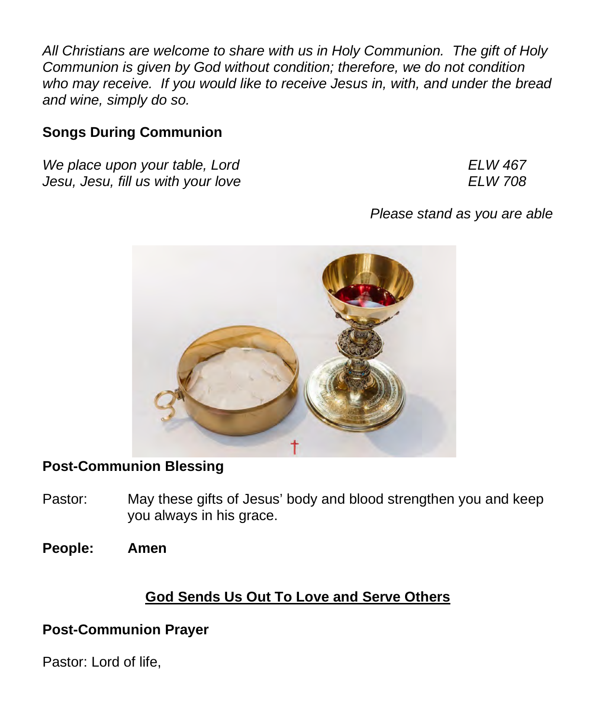*All Christians are welcome to share with us in Holy Communion. The gift of Holy Communion is given by God without condition; therefore, we do not condition who may receive. If you would like to receive Jesus in, with, and under the bread and wine, simply do so.*

## **Songs During Communion**

*We place upon your table, Lord ELW 467 Jesu, Jesu, fill us with your love ELW 708* 

*Please stand as you are able*



# **Post-Communion Blessing**

- Pastor: May these gifts of Jesus' body and blood strengthen you and keep you always in his grace.
- **People: Amen**

# **God Sends Us Out To Love and Serve Others**

# **Post-Communion Prayer**

Pastor: Lord of life,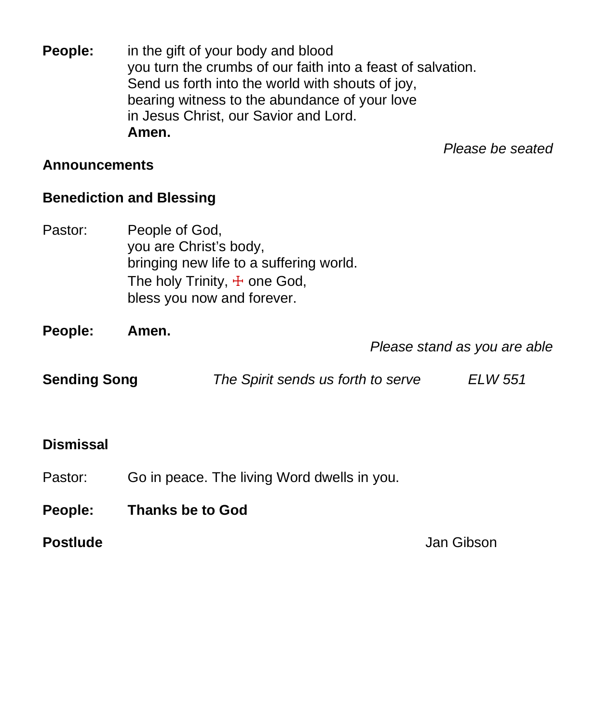**People:** in the gift of your body and blood you turn the crumbs of our faith into a feast of salvation. Send us forth into the world with shouts of joy, bearing witness to the abundance of your love in Jesus Christ, our Savior and Lord. **Amen.**

*Please be seated*

#### **Announcements**

### **Benediction and Blessing**

Pastor: People of God, you are Christ's body, bringing new life to a suffering world. The holy Trinity,  $\pm$  one God, bless you now and forever.

**People: Amen.**

*Please stand as you are able*

| <b>Sending Song</b><br>The Spirit sends us forth to serve | ELW 551 |
|-----------------------------------------------------------|---------|
|-----------------------------------------------------------|---------|

### **Dismissal**

- Pastor: Go in peace. The living Word dwells in you.
- **People: Thanks be to God**

**Postlude** Jan Gibson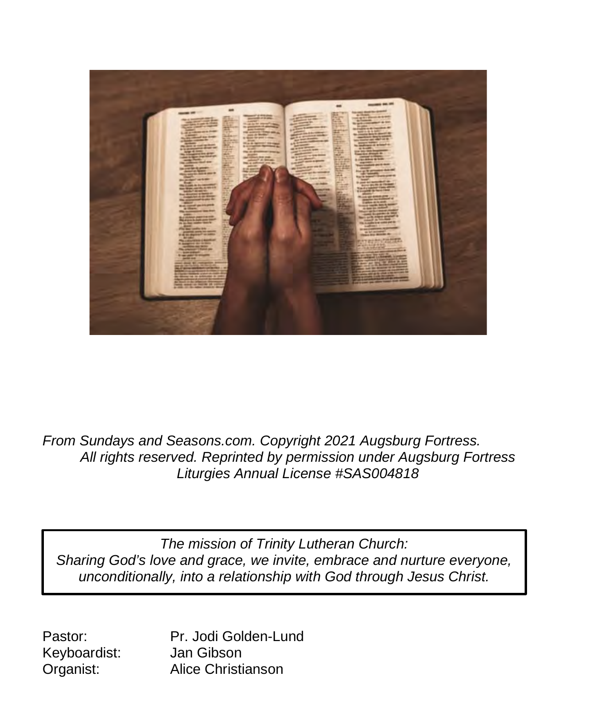

*From Sundays and Seasons.com. Copyright 2021 Augsburg Fortress. All rights reserved. Reprinted by permission under Augsburg Fortress Liturgies Annual License #SAS004818*

**Sharing God's love and grace, we invite, embrace and nurture everyone,** *The mission of Trinity Lutheran Church: unconditionally, into a relationship with God through Jesus Christ.*

Keyboardist:

Pastor: Pr. Jodi Golden-Lund<br>Kevboardist: Jan Gibson Organist: Alice Christianson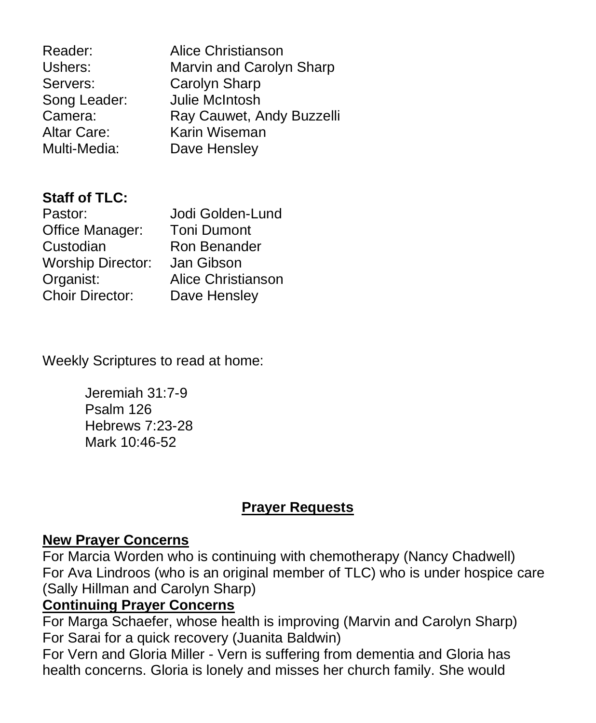| Reader:      | Alice Christianson        |
|--------------|---------------------------|
| Ushers:      | Marvin and Carolyn Sharp  |
| Servers:     | Carolyn Sharp             |
| Song Leader: | Julie McIntosh            |
| Camera:      | Ray Cauwet, Andy Buzzelli |
| Altar Care:  | Karin Wiseman             |
| Multi-Media: | Dave Hensley              |
|              |                           |

# **Staff of TLC:**

| Pastor:                  | Jodi Golden-Lund          |
|--------------------------|---------------------------|
| Office Manager:          | <b>Toni Dumont</b>        |
| Custodian                | Ron Benander              |
| <b>Worship Director:</b> | Jan Gibson                |
| Organist:                | <b>Alice Christianson</b> |
| <b>Choir Director:</b>   | Dave Hensley              |

Weekly Scriptures to read at home:

Jeremiah 31:7-9 Psalm 126 Hebrews 7:23-28 Mark 10:46-52

# **Prayer Requests**

### **New Prayer Concerns**

For Marcia Worden who is continuing with chemotherapy (Nancy Chadwell) For Ava Lindroos (who is an original member of TLC) who is under hospice care (Sally Hillman and Carolyn Sharp)

# **Continuing Prayer Concerns**

For Marga Schaefer, whose health is improving (Marvin and Carolyn Sharp) For Sarai for a quick recovery (Juanita Baldwin)

For Vern and Gloria Miller - Vern is suffering from dementia and Gloria has health concerns. Gloria is lonely and misses her church family. She would